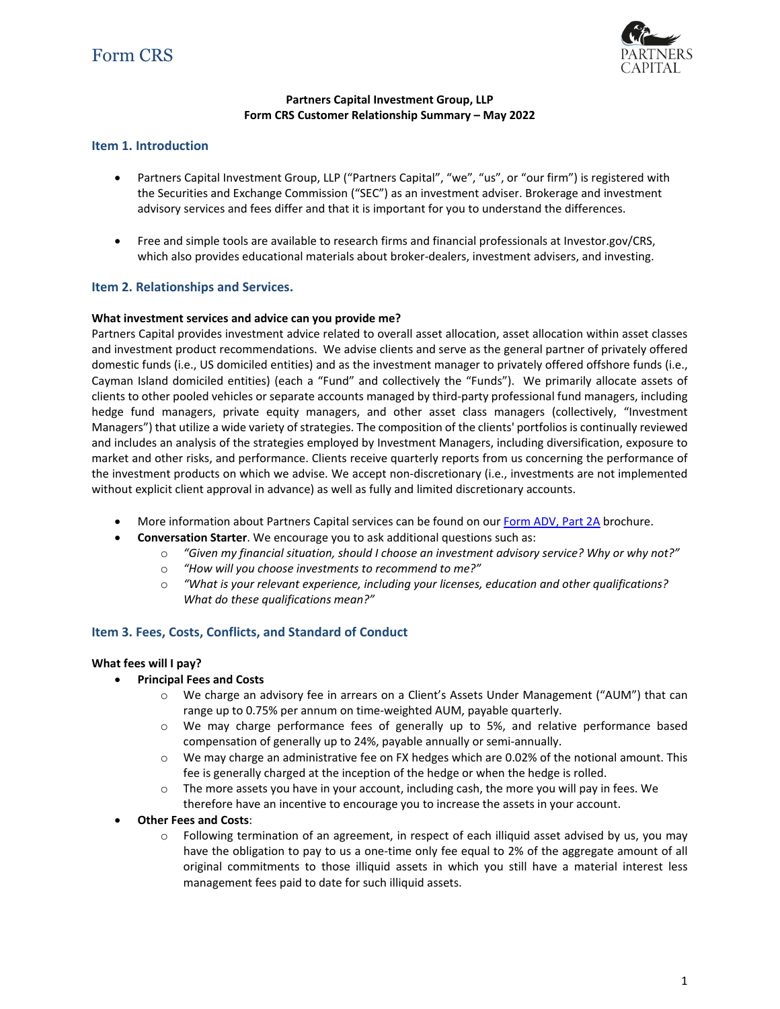

### **Partners Capital Investment Group, LLP Form CRS Customer Relationship Summary – May 2022**

## **Item 1. Introduction**

- Partners Capital Investment Group, LLP ("Partners Capital", "we", "us", or "our firm") is registered with the Securities and Exchange Commission ("SEC") as an investment adviser. Brokerage and investment advisory services and fees differ and that it is important for you to understand the differences.
- Free and simple tools are available to research firms and financial professionals at Investor.gov/CRS, which also provides educational materials about broker-dealers, investment advisers, and investing.

## **Item 2. Relationships and Services.**

### **What investment services and advice can you provide me?**

Partners Capital provides investment advice related to overall asset allocation, asset allocation within asset classes and investment product recommendations. We advise clients and serve as the general partner of privately offered domestic funds (i.e., US domiciled entities) and as the investment manager to privately offered offshore funds (i.e., Cayman Island domiciled entities) (each a "Fund" and collectively the "Funds"). We primarily allocate assets of clients to other pooled vehicles or separate accounts managed by third-party professional fund managers, including hedge fund managers, private equity managers, and other asset class managers (collectively, "Investment Managers") that utilize a wide variety of strategies. The composition of the clients' portfolios is continually reviewed and includes an analysis of the strategies employed by Investment Managers, including diversification, exposure to market and other risks, and performance. Clients receive quarterly reports from us concerning the performance of the investment products on which we advise. We accept non-discretionary (i.e., investments are not implemented without explicit client approval in advance) as well as fully and limited discretionary accounts.

- More information about Partners Capital services can be found on ou[r Form ADV, Part 2A](https://files.adviserinfo.sec.gov/IAPD/Content/Common/crd_iapd_Brochure.aspx?BRCHR_VRSN_ID=773560) brochure.
- **Conversation Starter**. We encourage you to ask additional questions such as:
	- o *"Given my financial situation, should I choose an investment advisory service? Why or why not?"*
	- o *"How will you choose investments to recommend to me?"*
	- o *"What is your relevant experience, including your licenses, education and other qualifications? What do these qualifications mean?"*

### **Item 3. Fees, Costs, Conflicts, and Standard of Conduct**

#### **What fees will I pay?**

- **Principal Fees and Costs**
	- o We charge an advisory fee in arrears on a Client's Assets Under Management ("AUM") that can range up to 0.75% per annum on time-weighted AUM, payable quarterly.
	- o We may charge performance fees of generally up to 5%, and relative performance based compensation of generally up to 24%, payable annually or semi-annually.
	- o We may charge an administrative fee on FX hedges which are 0.02% of the notional amount. This fee is generally charged at the inception of the hedge or when the hedge is rolled.
	- $\circ$  The more assets you have in your account, including cash, the more you will pay in fees. We therefore have an incentive to encourage you to increase the assets in your account.
- **Other Fees and Costs**:
	- $\circ$  Following termination of an agreement, in respect of each illiquid asset advised by us, you may have the obligation to pay to us a one-time only fee equal to 2% of the aggregate amount of all original commitments to those illiquid assets in which you still have a material interest less management fees paid to date for such illiquid assets.